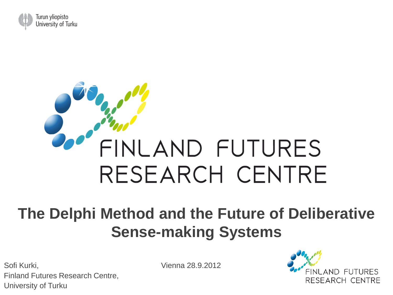

# FINLAND FUTURES RESEARCH CENTRE

#### **The Delphi Method and the Future of Deliberative Sense-making Systems**

Sofi Kurki, Vienna 28.9.2012 Finland Futures Research Centre, University of Turku

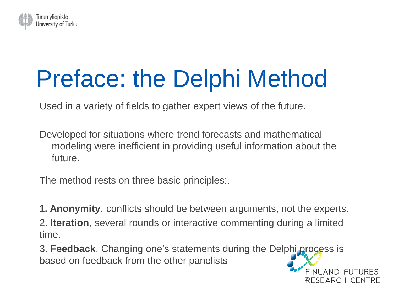

## Preface: the Delphi Method

Used in a variety of fields to gather expert views of the future.

Developed for situations where trend forecasts and mathematical modeling were inefficient in providing useful information about the future.

The method rests on three basic principles:.

**1. Anonymity**, conflicts should be between arguments, not the experts.

2. **Iteration**, several rounds or interactive commenting during a limited time.

3. **Feedback**. Changing one's statements during the Delphi process is based on feedback from the other panelists

RESEARCH CENTRE

FINI AND FUTURES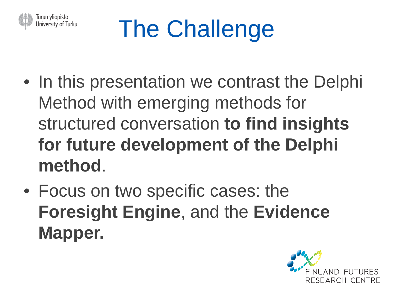

## The Challenge

- In this presentation we contrast the Delphi Method with emerging methods for structured conversation **to find insights for future development of the Delphi method**.
- Focus on two specific cases: the **Foresight Engine**, and the **Evidence Mapper.**

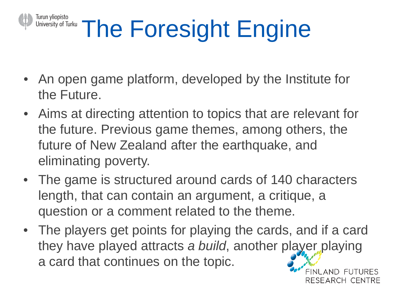#### Turun yliopisto University of Turku The Foresight Engine

- An open game platform, developed by the Institute for the Future.
- Aims at directing attention to topics that are relevant for the future. Previous game themes, among others, the future of New Zealand after the earthquake, and eliminating poverty.
- The game is structured around cards of 140 characters length, that can contain an argument, a critique, a question or a comment related to the theme.
- The players get points for playing the cards, and if a card they have played attracts *a build*, another player playing a card that continues on the topic. FINI AND FUTURES

RESEARCH CENTRE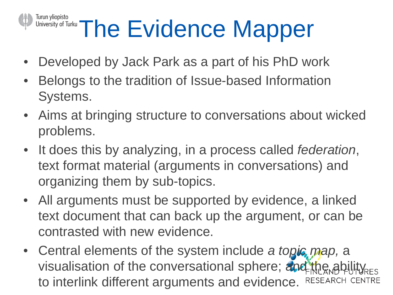## Turun yliopisto<br>University of Turku The Evidence Mapper

- Developed by Jack Park as a part of his PhD work
- Belongs to the tradition of Issue-based Information Systems.
- Aims at bringing structure to conversations about wicked problems.
- It does this by analyzing, in a process called *federation*, text format material (arguments in conversations) and organizing them by sub-topics.
- All arguments must be supported by evidence, a linked text document that can back up the argument, or can be contrasted with new evidence.
- Central elements of the system include *a topic map,* a visualisation of the conversational sphere; and the ability RES to interlink different arguments and evidence.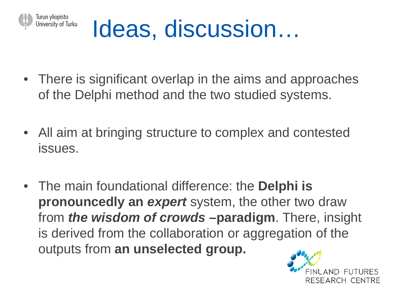

## Ideas, discussion…

- There is significant overlap in the aims and approaches of the Delphi method and the two studied systems.
- All aim at bringing structure to complex and contested issues.
- The main foundational difference: the **Delphi is pronouncedly an** *expert* system, the other two draw from *the wisdom of crowds* **–paradigm**. There, insight is derived from the collaboration or aggregation of the outputs from **an unselected group.**

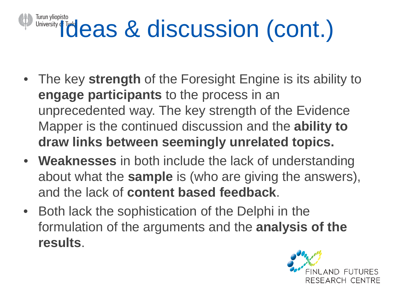## Turun yliopisto<br>University deas & discussion (cont.)

- The key **strength** of the Foresight Engine is its ability to **engage participants** to the process in an unprecedented way. The key strength of the Evidence Mapper is the continued discussion and the **ability to draw links between seemingly unrelated topics.**
- **Weaknesses** in both include the lack of understanding about what the **sample** is (who are giving the answers), and the lack of **content based feedback**.
- Both lack the sophistication of the Delphi in the formulation of the arguments and the **analysis of the results**.